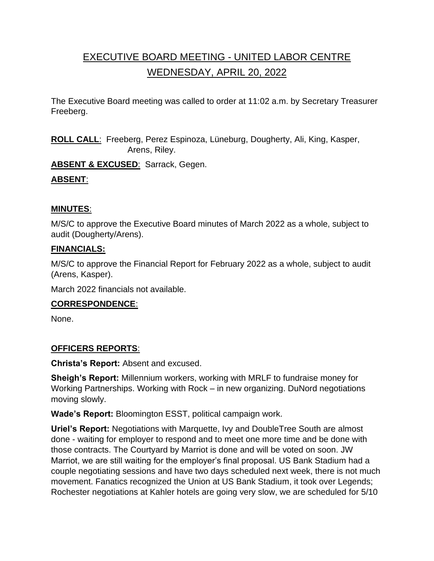# EXECUTIVE BOARD MEETING - UNITED LABOR CENTRE WEDNESDAY, APRIL 20, 2022

The Executive Board meeting was called to order at 11:02 a.m. by Secretary Treasurer Freeberg.

**ROLL CALL**: Freeberg, Perez Espinoza, Lüneburg, Dougherty, Ali, King, Kasper, Arens, Riley.

**ABSENT & EXCUSED**: Sarrack, Gegen.

# **ABSENT**:

# **MINUTES**:

M/S/C to approve the Executive Board minutes of March 2022 as a whole, subject to audit (Dougherty/Arens).

# **FINANCIALS:**

M/S/C to approve the Financial Report for February 2022 as a whole, subject to audit (Arens, Kasper).

March 2022 financials not available.

# **CORRESPONDENCE**:

None.

# **OFFICERS REPORTS**:

**Christa's Report:** Absent and excused.

**Sheigh's Report:** Millennium workers, working with MRLF to fundraise money for Working Partnerships. Working with Rock – in new organizing. DuNord negotiations moving slowly.

**Wade's Report:** Bloomington ESST, political campaign work.

**Uriel's Report:** Negotiations with Marquette, Ivy and DoubleTree South are almost done - waiting for employer to respond and to meet one more time and be done with those contracts. The Courtyard by Marriot is done and will be voted on soon. JW Marriot, we are still waiting for the employer's final proposal. US Bank Stadium had a couple negotiating sessions and have two days scheduled next week, there is not much movement. Fanatics recognized the Union at US Bank Stadium, it took over Legends; Rochester negotiations at Kahler hotels are going very slow, we are scheduled for 5/10